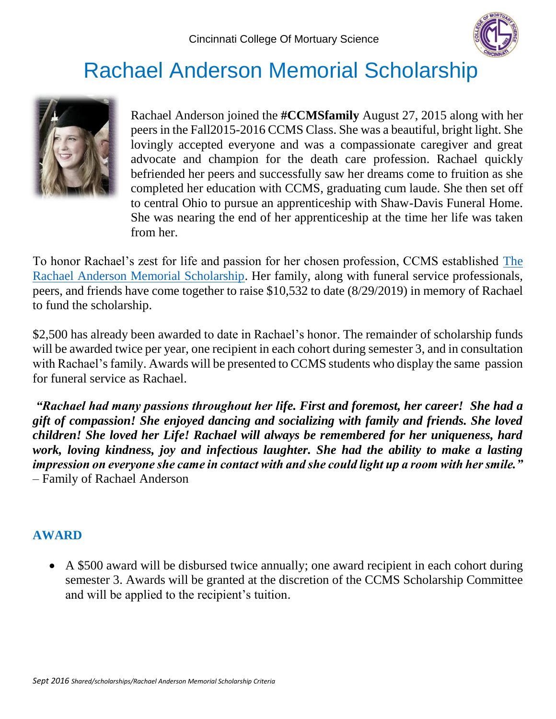

# Rachael Anderson Memorial Scholarship



Rachael Anderson joined the **#CCMSfamily** August 27, 2015 along with her peers in the Fall2015-2016 CCMS Class. She was a beautiful, bright light. She lovingly accepted everyone and was a compassionate caregiver and great advocate and champion for the death care profession. Rachael quickly befriended her peers and successfully saw her dreams come to fruition as she completed her education with CCMS, graduating cum laude. She then set off to central Ohio to pursue an apprenticeship with Shaw-Davis Funeral Home. She was nearing the end of her apprenticeship at the time her life was taken from her.

To honor Rachael's zest for life and passion for her chosen profession, CCMS established [The](https://www.ccms.edu/rachael-anderson/)  [Rachael Anderson Memorial Scholarship.](https://www.ccms.edu/rachael-anderson/) Her family, along with funeral service professionals, peers, and friends have come together to raise \$10,532 to date (8/29/2019) in memory of Rachael to fund the scholarship.

\$2,500 has already been awarded to date in Rachael's honor. The remainder of scholarship funds will be awarded twice per year, one recipient in each cohort during semester 3, and in consultation with Rachael's family. Awards will be presented to CCMS students who display the same passion for funeral service as Rachael.

*"Rachael had many passions throughout her life. First and foremost, her career! She had a gift of compassion! She enjoyed dancing and socializing with family and friends. She loved children! She loved her Life! Rachael will always be remembered for her uniqueness, hard work, loving kindness, joy and infectious laughter. She had the ability to make a lasting impression on everyone she came in contact with and she could light up a room with her smile."*  – Family of Rachael Anderson

# **AWARD**

 A \$500 award will be disbursed twice annually; one award recipient in each cohort during semester 3. Awards will be granted at the discretion of the CCMS Scholarship Committee and will be applied to the recipient's tuition.